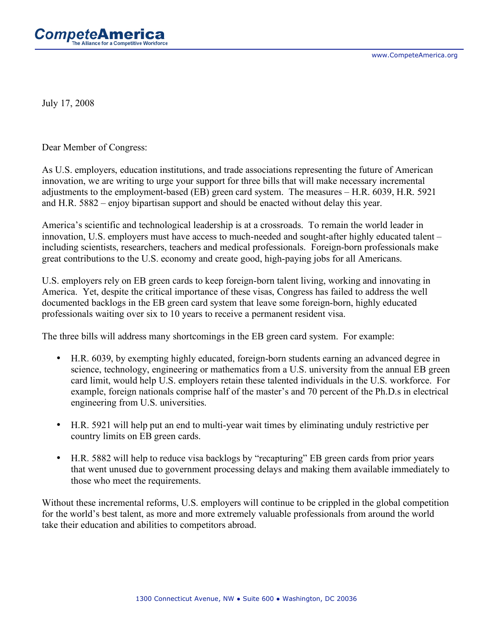

July 17, 2008

Dear Member of Congress:

As U.S. employers, education institutions, and trade associations representing the future of American innovation, we are writing to urge your support for three bills that will make necessary incremental adjustments to the employment-based (EB) green card system. The measures – H.R. 6039, H.R. 5921 and H.R. 5882 – enjoy bipartisan support and should be enacted without delay this year.

America's scientific and technological leadership is at a crossroads. To remain the world leader in innovation, U.S. employers must have access to much-needed and sought-after highly educated talent – including scientists, researchers, teachers and medical professionals. Foreign-born professionals make great contributions to the U.S. economy and create good, high-paying jobs for all Americans.

U.S. employers rely on EB green cards to keep foreign-born talent living, working and innovating in America. Yet, despite the critical importance of these visas, Congress has failed to address the well documented backlogs in the EB green card system that leave some foreign-born, highly educated professionals waiting over six to 10 years to receive a permanent resident visa.

The three bills will address many shortcomings in the EB green card system. For example:

- H.R. 6039, by exempting highly educated, foreign-born students earning an advanced degree in science, technology, engineering or mathematics from a U.S. university from the annual EB green card limit, would help U.S. employers retain these talented individuals in the U.S. workforce. For example, foreign nationals comprise half of the master's and 70 percent of the Ph.D.s in electrical engineering from U.S. universities.
- H.R. 5921 will help put an end to multi-year wait times by eliminating unduly restrictive per country limits on EB green cards.
- H.R. 5882 will help to reduce visa backlogs by "recapturing" EB green cards from prior years that went unused due to government processing delays and making them available immediately to those who meet the requirements.

Without these incremental reforms, U.S. employers will continue to be crippled in the global competition for the world's best talent, as more and more extremely valuable professionals from around the world take their education and abilities to competitors abroad.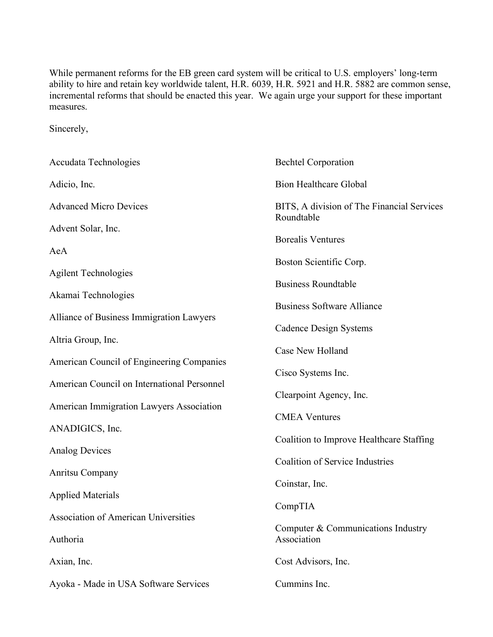While permanent reforms for the EB green card system will be critical to U.S. employers' long-term ability to hire and retain key worldwide talent, H.R. 6039, H.R. 5921 and H.R. 5882 are common sense, incremental reforms that should be enacted this year. We again urge your support for these important measures.

Sincerely,

| Accudata Technologies                       | <b>Bechtel Corporation</b>                               |
|---------------------------------------------|----------------------------------------------------------|
| Adicio, Inc.                                | <b>Bion Healthcare Global</b>                            |
| <b>Advanced Micro Devices</b>               | BITS, A division of The Financial Services<br>Roundtable |
| Advent Solar, Inc.                          | <b>Borealis Ventures</b>                                 |
| AeA                                         |                                                          |
| <b>Agilent Technologies</b>                 | Boston Scientific Corp.                                  |
| Akamai Technologies                         | <b>Business Roundtable</b>                               |
| Alliance of Business Immigration Lawyers    | <b>Business Software Alliance</b>                        |
| Altria Group, Inc.                          | <b>Cadence Design Systems</b>                            |
| American Council of Engineering Companies   | Case New Holland                                         |
| American Council on International Personnel | Cisco Systems Inc.                                       |
| American Immigration Lawyers Association    | Clearpoint Agency, Inc.                                  |
| ANADIGICS, Inc.                             | <b>CMEA Ventures</b>                                     |
| <b>Analog Devices</b>                       | Coalition to Improve Healthcare Staffing                 |
| Anritsu Company                             | <b>Coalition of Service Industries</b>                   |
| <b>Applied Materials</b>                    | Coinstar, Inc.                                           |
| <b>Association of American Universities</b> | CompTIA                                                  |
| Authoria                                    | Computer & Communications Industry<br>Association        |
| Axian, Inc.                                 | Cost Advisors, Inc.                                      |
| Ayoka - Made in USA Software Services       | Cummins Inc.                                             |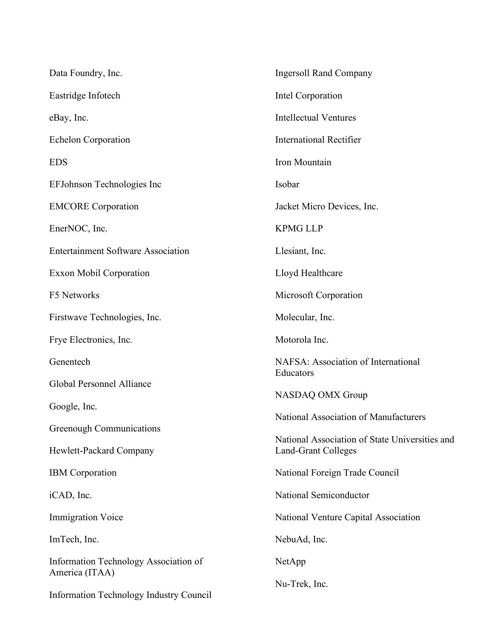| Data Foundry, Inc.                                               | <b>Ingersoll Rand Company</b>                                                |
|------------------------------------------------------------------|------------------------------------------------------------------------------|
| Eastridge Infotech                                               | Intel Corporation                                                            |
| eBay, Inc.                                                       | <b>Intellectual Ventures</b>                                                 |
| <b>Echelon Corporation</b>                                       | <b>International Rectifier</b>                                               |
| <b>EDS</b>                                                       | Iron Mountain                                                                |
| EFJohnson Technologies Inc                                       | Isobar                                                                       |
| <b>EMCORE</b> Corporation                                        | Jacket Micro Devices, Inc.                                                   |
| EnerNOC, Inc.                                                    | <b>KPMG LLP</b>                                                              |
| <b>Entertainment Software Association</b>                        | Llesiant, Inc.                                                               |
| <b>Exxon Mobil Corporation</b>                                   | Lloyd Healthcare                                                             |
| F5 Networks                                                      | Microsoft Corporation                                                        |
| Firstwave Technologies, Inc.                                     | Molecular, Inc.                                                              |
| Frye Electronics, Inc.                                           | Motorola Inc.                                                                |
| Genentech                                                        | NAFSA: Association of International                                          |
| Global Personnel Alliance                                        | Educators                                                                    |
| Google, Inc.                                                     | NASDAQ OMX Group                                                             |
| Greenough Communications                                         | National Association of Manufacturers                                        |
| Hewlett-Packard Company                                          | National Association of State Universities and<br><b>Land-Grant Colleges</b> |
| <b>IBM</b> Corporation                                           | National Foreign Trade Council                                               |
| iCAD, Inc.                                                       | National Semiconductor                                                       |
| <b>Immigration Voice</b>                                         | National Venture Capital Association                                         |
| ImTech, Inc.                                                     | NebuAd, Inc.                                                                 |
| Information Technology Association of                            | NetApp                                                                       |
| America (ITAA)<br><b>Information Technology Industry Council</b> | Nu-Trek, Inc.                                                                |